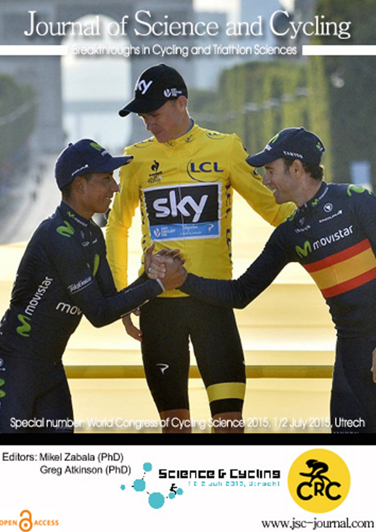## Journal of Science and Cycling

Breakthroughs in Cycling and Triathlon Sciences



Editors: Mikel Zabala (PhD) Greg Atkinson (PhD)

OPEN CACCESS





www.jsc-journal.com